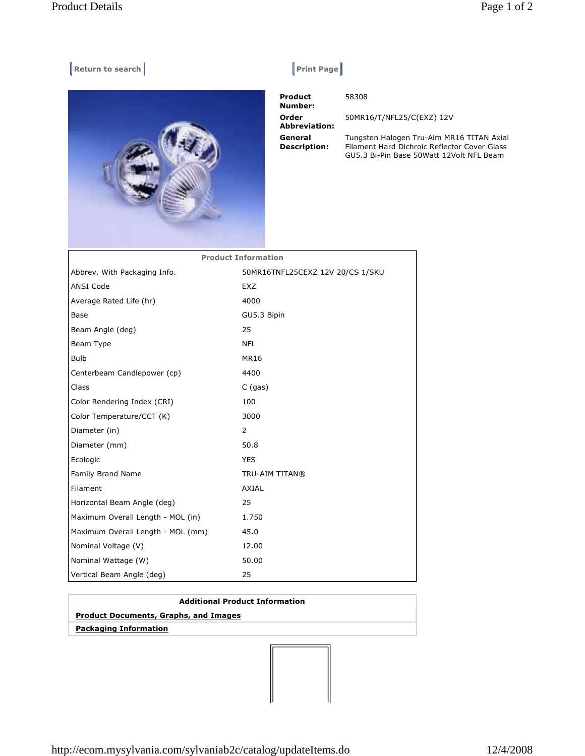## **Return to search Return Construction Construction Construction Print Page |**



 **Product Number: Order Abbreviation: General Description:** 

58308

50MR16/T/NFL25/C(EXZ) 12V

Tungsten Halogen Tru-Aim MR16 TITAN Axial Filament Hard Dichroic Reflector Cover Glass GU5.3 Bi-Pin Base 50Watt 12Volt NFL Beam

| <b>Product Information</b>        |                                  |
|-----------------------------------|----------------------------------|
| Abbrev. With Packaging Info.      | 50MR16TNFL25CEXZ 12V 20/CS 1/SKU |
| <b>ANSI Code</b>                  | <b>EXZ</b>                       |
| Average Rated Life (hr)           | 4000                             |
| Base                              | GU5.3 Bipin                      |
| Beam Angle (deg)                  | 25                               |
| Beam Type                         | <b>NFL</b>                       |
| <b>Bulb</b>                       | <b>MR16</b>                      |
| Centerbeam Candlepower (cp)       | 4400                             |
| Class                             | $C$ (gas)                        |
| Color Rendering Index (CRI)       | 100                              |
| Color Temperature/CCT (K)         | 3000                             |
| Diameter (in)                     | 2                                |
| Diameter (mm)                     | 50.8                             |
| Ecologic                          | <b>YES</b>                       |
| Family Brand Name                 | TRU-AIM TITAN®                   |
| Filament                          | AXIAL                            |
| Horizontal Beam Angle (deg)       | 25                               |
| Maximum Overall Length - MOL (in) | 1.750                            |
| Maximum Overall Length - MOL (mm) | 45.0                             |
| Nominal Voltage (V)               | 12.00                            |
| Nominal Wattage (W)               | 50.00                            |
| Vertical Beam Angle (deg)         | 25                               |

## **Additional Product Information**

## **Product Documents, Graphs, and Images**

 **Packaging Information**